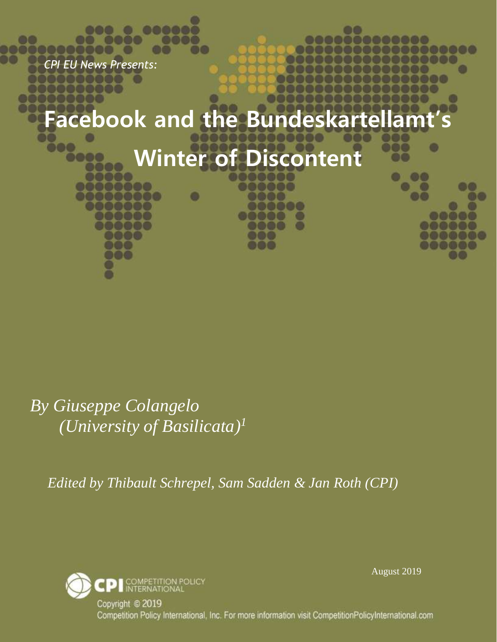*CPI EU News Presents:*

DO

# **Facebook and the Bundeskartellamt's**

# **Winter of Discontent**

*By Giuseppe Colangelo (University of Basilicata) 1*

*Edited by Thibault Schrepel, Sam Sadden & Jan Roth (CPI)*



August 2019

Copyright © 2019 Competition Policy International, Inc. For more information visit CompetitionPolicyInternational.com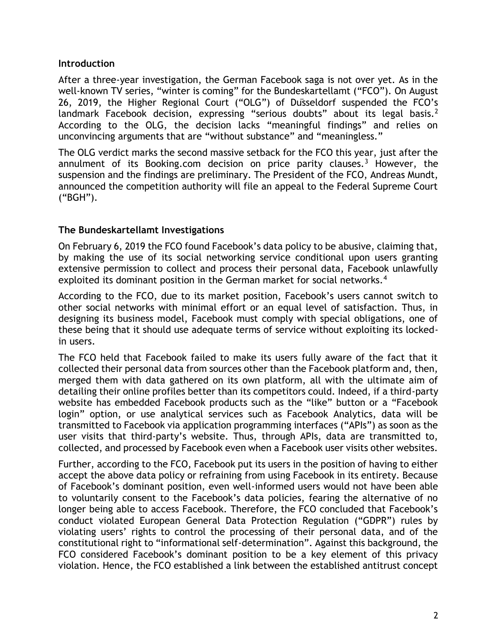#### **Introduction**

After a three-year investigation, the German Facebook saga is not over yet. As in the well-known TV series, "winter is coming" for the Bundeskartellamt ("FCO"). On August 26, 2019, the Higher Regional Court ("OLG") of Düsseldorf suspended the FCO's landmark Facebook decision, expressing "serious doubts" about its legal basis.<sup>2</sup> According to the OLG, the decision lacks "meaningful findings" and relies on unconvincing arguments that are "without substance" and "meaningless."

The OLG verdict marks the second massive setback for the FCO this year, just after the annulment of its Booking.com decision on price parity clauses.<sup>3</sup> However, the suspension and the findings are preliminary. The President of the FCO, Andreas Mundt, announced the competition authority will file an appeal to the Federal Supreme Court ("BGH").

## **The Bundeskartellamt Investigations**

On February 6, 2019 the FCO found Facebook's data policy to be abusive, claiming that, by making the use of its social networking service conditional upon users granting extensive permission to collect and process their personal data, Facebook unlawfully exploited its dominant position in the German market for social networks.<sup>4</sup>

According to the FCO, due to its market position, Facebook's users cannot switch to other social networks with minimal effort or an equal level of satisfaction. Thus, in designing its business model, Facebook must comply with special obligations, one of these being that it should use adequate terms of service without exploiting its lockedin users.

The FCO held that Facebook failed to make its users fully aware of the fact that it collected their personal data from sources other than the Facebook platform and, then, merged them with data gathered on its own platform, all with the ultimate aim of detailing their online profiles better than its competitors could. Indeed, if a third-party website has embedded Facebook products such as the "like" button or a "Facebook login" option, or use analytical services such as Facebook Analytics, data will be transmitted to Facebook via application programming interfaces ("APIs") as soon as the user visits that third-party's website. Thus, through APIs, data are transmitted to, collected, and processed by Facebook even when a Facebook user visits other websites.

Further, according to the FCO, Facebook put its users in the position of having to either accept the above data policy or refraining from using Facebook in its entirety. Because of Facebook's dominant position, even well-informed users would not have been able to voluntarily consent to the Facebook's data policies, fearing the alternative of no longer being able to access Facebook. Therefore, the FCO concluded that Facebook's conduct violated European General Data Protection Regulation ("GDPR") rules by violating users' rights to control the processing of their personal data, and of the constitutional right to "informational self-determination". Against this background, the FCO considered Facebook's dominant position to be a key element of this privacy violation. Hence, the FCO established a link between the established antitrust concept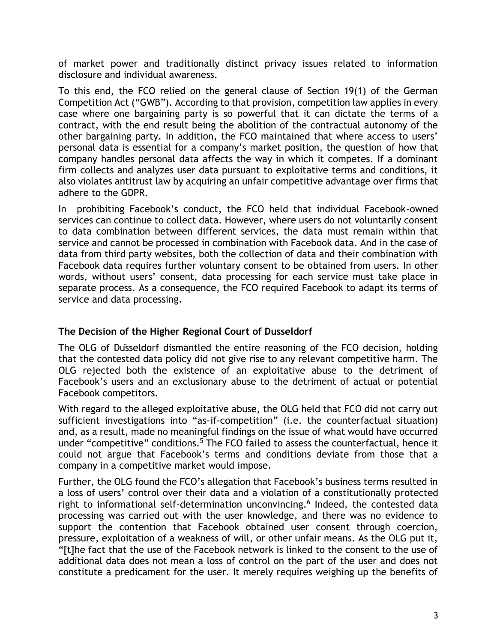of market power and traditionally distinct privacy issues related to information disclosure and individual awareness.

To this end, the FCO relied on the general clause of Section 19(1) of the German Competition Act ("GWB"). According to that provision, competition law applies in every case where one bargaining party is so powerful that it can dictate the terms of a contract, with the end result being the abolition of the contractual autonomy of the other bargaining party. In addition, the FCO maintained that where access to users' personal data is essential for a company's market position, the question of how that company handles personal data affects the way in which it competes. If a dominant firm collects and analyzes user data pursuant to exploitative terms and conditions, it also violates antitrust law by acquiring an unfair competitive advantage over firms that adhere to the GDPR.

In prohibiting Facebook's conduct, the FCO held that individual Facebook-owned services can continue to collect data. However, where users do not voluntarily consent to data combination between different services, the data must remain within that service and cannot be processed in combination with Facebook data. And in the case of data from third party websites, both the collection of data and their combination with Facebook data requires further voluntary consent to be obtained from users. In other words, without users' consent, data processing for each service must take place in separate process. As a consequence, the FCO required Facebook to adapt its terms of service and data processing.

## **The Decision of the Higher Regional Court of Dusseldorf**

The OLG of Düsseldorf dismantled the entire reasoning of the FCO decision, holding that the contested data policy did not give rise to any relevant competitive harm. The OLG rejected both the existence of an exploitative abuse to the detriment of Facebook's users and an exclusionary abuse to the detriment of actual or potential Facebook competitors.

With regard to the alleged exploitative abuse, the OLG held that FCO did not carry out sufficient investigations into "as-if-competition" (i.e. the counterfactual situation) and, as a result, made no meaningful findings on the issue of what would have occurred under "competitive" conditions.<sup>5</sup> The FCO failed to assess the counterfactual, hence it could not argue that Facebook's terms and conditions deviate from those that a company in a competitive market would impose.

Further, the OLG found the FCO's allegation that Facebook's business terms resulted in a loss of users' control over their data and a violation of a constitutionally protected right to informational self-determination unconvincing.<sup>6</sup> Indeed, the contested data processing was carried out with the user knowledge, and there was no evidence to support the contention that Facebook obtained user consent through coercion, pressure, exploitation of a weakness of will, or other unfair means. As the OLG put it, "[t]he fact that the use of the Facebook network is linked to the consent to the use of additional data does not mean a loss of control on the part of the user and does not constitute a predicament for the user. It merely requires weighing up the benefits of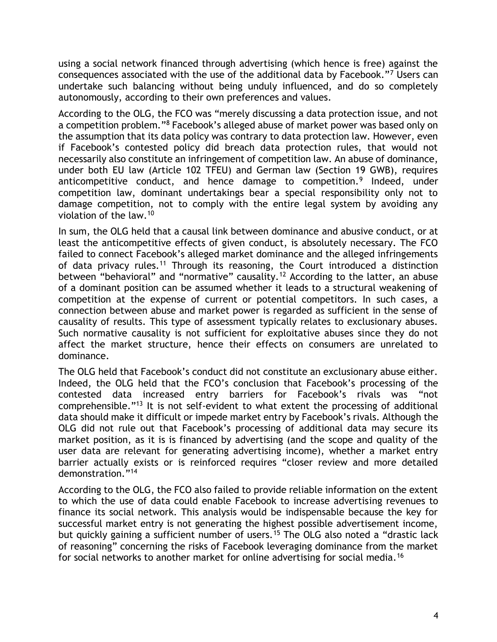using a social network financed through advertising (which hence is free) against the consequences associated with the use of the additional data by Facebook."<sup>7</sup> Users can undertake such balancing without being unduly influenced, and do so completely autonomously, according to their own preferences and values.

According to the OLG, the FCO was "merely discussing a data protection issue, and not a competition problem."<sup>8</sup> Facebook's alleged abuse of market power was based only on the assumption that its data policy was contrary to data protection law. However, even if Facebook's contested policy did breach data protection rules, that would not necessarily also constitute an infringement of competition law. An abuse of dominance, under both EU law (Article 102 TFEU) and German law (Section 19 GWB), requires anticompetitive conduct, and hence damage to competition.<sup>9</sup> Indeed, under competition law, dominant undertakings bear a special responsibility only not to damage competition, not to comply with the entire legal system by avoiding any violation of the law.<sup>10</sup>

In sum, the OLG held that a causal link between dominance and abusive conduct, or at least the anticompetitive effects of given conduct, is absolutely necessary. The FCO failed to connect Facebook's alleged market dominance and the alleged infringements of data privacy rules.<sup>11</sup> Through its reasoning, the Court introduced a distinction between "behavioral" and "normative" causality.<sup>12</sup> According to the latter, an abuse of a dominant position can be assumed whether it leads to a structural weakening of competition at the expense of current or potential competitors. In such cases, a connection between abuse and market power is regarded as sufficient in the sense of causality of results. This type of assessment typically relates to exclusionary abuses. Such normative causality is not sufficient for exploitative abuses since they do not affect the market structure, hence their effects on consumers are unrelated to dominance.

The OLG held that Facebook's conduct did not constitute an exclusionary abuse either. Indeed, the OLG held that the FCO's conclusion that Facebook's processing of the contested data increased entry barriers for Facebook's rivals was "not comprehensible."<sup>13</sup> It is not self-evident to what extent the processing of additional data should make it difficult or impede market entry by Facebook's rivals. Although the OLG did not rule out that Facebook's processing of additional data may secure its market position, as it is is financed by advertising (and the scope and quality of the user data are relevant for generating advertising income), whether a market entry barrier actually exists or is reinforced requires "closer review and more detailed demonstration."<sup>14</sup>

According to the OLG, the FCO also failed to provide reliable information on the extent to which the use of data could enable Facebook to increase advertising revenues to finance its social network. This analysis would be indispensable because the key for successful market entry is not generating the highest possible advertisement income, but quickly gaining a sufficient number of users.<sup>15</sup> The OLG also noted a "drastic lack of reasoning" concerning the risks of Facebook leveraging dominance from the market for social networks to another market for online advertising for social media.16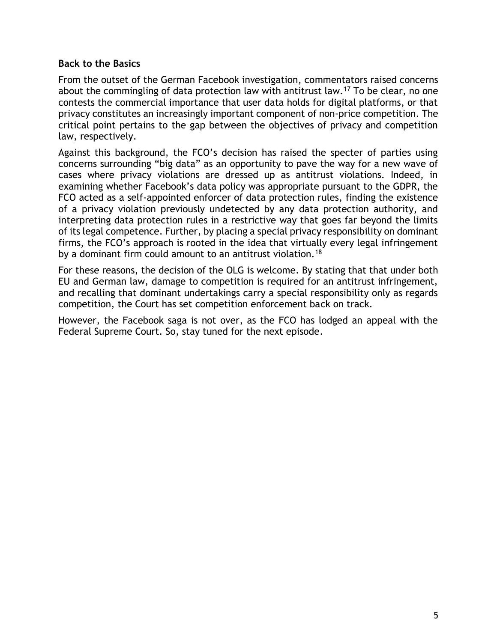#### **Back to the Basics**

From the outset of the German Facebook investigation, commentators raised concerns about the commingling of data protection law with antitrust law.<sup>17</sup> To be clear, no one contests the commercial importance that user data holds for digital platforms, or that privacy constitutes an increasingly important component of non-price competition. The critical point pertains to the gap between the objectives of privacy and competition law, respectively.

Against this background, the FCO's decision has raised the specter of parties using concerns surrounding "big data" as an opportunity to pave the way for a new wave of cases where privacy violations are dressed up as antitrust violations. Indeed, in examining whether Facebook's data policy was appropriate pursuant to the GDPR, the FCO acted as a self-appointed enforcer of data protection rules, finding the existence of a privacy violation previously undetected by any data protection authority, and interpreting data protection rules in a restrictive way that goes far beyond the limits of its legal competence. Further, by placing a special privacy responsibility on dominant firms, the FCO's approach is rooted in the idea that virtually every legal infringement by a dominant firm could amount to an antitrust violation.<sup>18</sup>

For these reasons, the decision of the OLG is welcome. By stating that that under both EU and German law, damage to competition is required for an antitrust infringement, and recalling that dominant undertakings carry a special responsibility only as regards competition, the Court has set competition enforcement back on track.

However, the Facebook saga is not over, as the FCO has lodged an appeal with the Federal Supreme Court. So, stay tuned for the next episode.